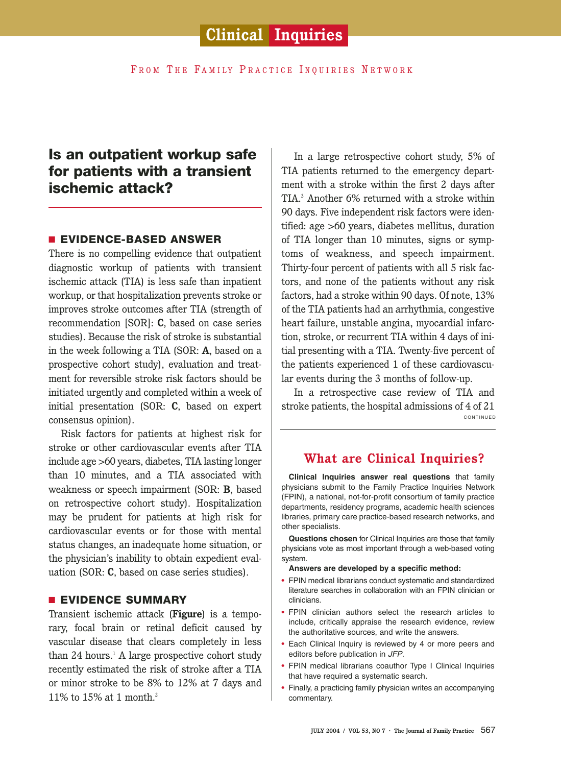# **Clinical Inquiries**

FROM THE FAMILY PRACTICE INQUIRIES NETWORK

## **Is an outpatient workup safe for patients with a transient ischemic attack?**

#### ■ **EVIDENCE-BASED ANSWER**

There is no compelling evidence that outpatient diagnostic workup of patients with transient ischemic attack (TIA) is less safe than inpatient workup, or that hospitalization prevents stroke or improves stroke outcomes after TIA (strength of recommendation [SOR]: **C**, based on case series studies). Because the risk of stroke is substantial in the week following a TIA (SOR: **A**, based on a prospective cohort study), evaluation and treatment for reversible stroke risk factors should be initiated urgently and completed within a week of initial presentation (SOR: **C**, based on expert consensus opinion).

Risk factors for patients at highest risk for stroke or other cardiovascular events after TIA include age >60 years, diabetes, TIA lasting longer than 10 minutes, and a TIA associated with weakness or speech impairment (SOR: **B**, based on retrospective cohort study). Hospitalization may be prudent for patients at high risk for cardiovascular events or for those with mental status changes, an inadequate home situation, or the physician's inability to obtain expedient evaluation (SOR: **C**, based on case series studies).

#### ■ **EVIDENCE SUMMARY**

Transient ischemic attack (**Figure**) is a temporary, focal brain or retinal deficit caused by vascular disease that clears completely in less than 24 hours.<sup>1</sup> A large prospective cohort study recently estimated the risk of stroke after a TIA or minor stroke to be 8% to 12% at 7 days and 11% to 15% at 1 month.2

In a large retrospective cohort study, 5% of TIA patients returned to the emergency department with a stroke within the first 2 days after TIA.3 Another 6% returned with a stroke within 90 days. Five independent risk factors were identified: age >60 years, diabetes mellitus, duration of TIA longer than 10 minutes, signs or symptoms of weakness, and speech impairment. Thirty-four percent of patients with all 5 risk factors, and none of the patients without any risk factors, had a stroke within 90 days. Of note, 13% of the TIA patients had an arrhythmia, congestive heart failure, unstable angina, myocardial infarction, stroke, or recurrent TIA within 4 days of initial presenting with a TIA. Twenty-five percent of the patients experienced 1 of these cardiovascular events during the 3 months of follow-up.

In a retrospective case review of TIA and stroke patients, the hospital admissions of 4 of 21 CONTINUED

#### **What are Clinical Inquiries?**

**Clinical Inquiries answer real questions** that family physicians submit to the Family Practice Inquiries Network (FPIN), a national, not-for-profit consortium of family practice departments, residency programs, academic health sciences libraries, primary care practice-based research networks, and other specialists.

**Questions chosen** for Clinical Inquiries are those that family physicians vote as most important through a web-based voting system.

**Answers are developed by a specific method:**

- FPIN medical librarians conduct systematic and standardized literature searches in collaboration with an FPIN clinician or clinicians.
- FPIN clinician authors select the research articles to include, critically appraise the research evidence, review the authoritative sources, and write the answers.
- Each Clinical Inquiry is reviewed by 4 or more peers and editors before publication in JFP.
- FPIN medical librarians coauthor Type I Clinical Inquiries that have required a systematic search.
- Finally, a practicing family physician writes an accompanying commentary.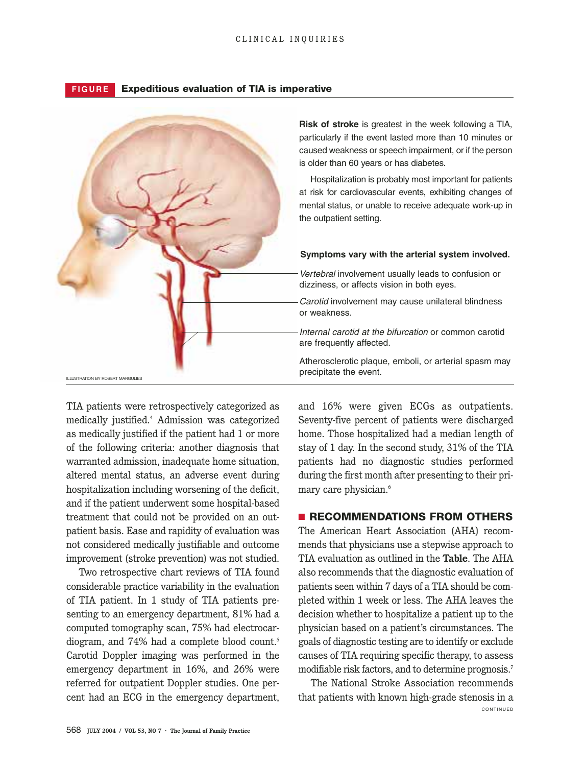#### **FIGURE Expeditious evaluation of TIA is imperative**



TIA patients were retrospectively categorized as medically justified.4 Admission was categorized as medically justified if the patient had 1 or more of the following criteria: another diagnosis that warranted admission, inadequate home situation, altered mental status, an adverse event during hospitalization including worsening of the deficit, and if the patient underwent some hospital-based treatment that could not be provided on an outpatient basis. Ease and rapidity of evaluation was not considered medically justifiable and outcome improvement (stroke prevention) was not studied.

Two retrospective chart reviews of TIA found considerable practice variability in the evaluation of TIA patient. In 1 study of TIA patients presenting to an emergency department, 81% had a computed tomography scan, 75% had electrocardiogram, and 74% had a complete blood count.<sup>5</sup> Carotid Doppler imaging was performed in the emergency department in 16%, and 26% were referred for outpatient Doppler studies. One percent had an ECG in the emergency department,

**Risk of stroke** is greatest in the week following a TIA, particularly if the event lasted more than 10 minutes or caused weakness or speech impairment, or if the person is older than 60 years or has diabetes.

Hospitalization is probably most important for patients at risk for cardiovascular events, exhibiting changes of mental status, or unable to receive adequate work-up in the outpatient setting.

#### **Symptoms vary with the arterial system involved.**

Vertebral involvement usually leads to confusion or dizziness, or affects vision in both eyes.

Carotid involvement may cause unilateral blindness or weakness.

Internal carotid at the bifurcation or common carotid are frequently affected.

Atherosclerotic plaque, emboli, or arterial spasm may precipitate the event.

and 16% were given ECGs as outpatients. Seventy-five percent of patients were discharged home. Those hospitalized had a median length of stay of 1 day. In the second study, 31% of the TIA patients had no diagnostic studies performed during the first month after presenting to their primary care physician.<sup>6</sup>

#### ■ **RECOMMENDATIONS FROM OTHERS**

The American Heart Association (AHA) recommends that physicians use a stepwise approach to TIA evaluation as outlined in the **Table**. The AHA also recommends that the diagnostic evaluation of patients seen within 7 days of a TIA should be completed within 1 week or less. The AHA leaves the decision whether to hospitalize a patient up to the physician based on a patient's circumstances. The goals of diagnostic testing are to identify or exclude causes of TIA requiring specific therapy, to assess modifiable risk factors, and to determine prognosis.7

CONTINUED The National Stroke Association recommends that patients with known high-grade stenosis in a